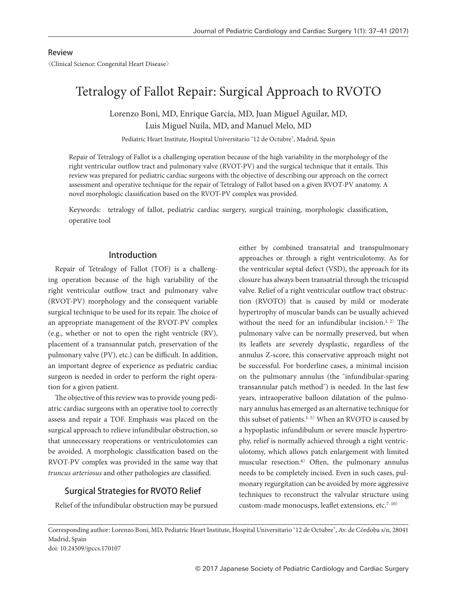〈Clinical Science: Congenital Heart Disease〉

# Tetralogy of Fallot Repair: Surgical Approach to RVOTO

Lorenzo Boni, MD, Enrique García, MD, Juan Miguel Aguilar, MD, Luis Miguel Nuila, MD, and Manuel Melo, MD

Pediatric Heart Institute, Hospital Universitario "12 de Octubre", Madrid, Spain

Repair of Tetralogy of Fallot is a challenging operation because of the high variability in the morphology of the right ventricular outflow tract and pulmonary valve (RVOT-PV) and the surgical technique that it entails. This review was prepared for pediatric cardiac surgeons with the objective of describing our approach on the correct assessment and operative technique for the repair of Tetralogy of Fallot based on a given RVOT-PV anatomy. A novel morphologic classification based on the RVOT-PV complex was provided.

Keywords: tetralogy of fallot, pediatric cardiac surgery, surgical training, morphologic classification, operative tool

# Introduction

Repair of Tetralogy of Fallot (TOF) is a challenging operation because of the high variability of the right ventricular outflow tract and pulmonary valve (RVOT-PV) morphology and the consequent variable surgical technique to be used for its repair. The choice of an appropriate management of the RVOT-PV complex (e.g., whether or not to open the right ventricle (RV), placement of a transannular patch, preservation of the pulmonary valve (PV), etc.) can be difficult. In addition, an important degree of experience as pediatric cardiac surgeon is needed in order to perform the right operation for a given patient.

The objective of this review was to provide young pediatric cardiac surgeons with an operative tool to correctly assess and repair a TOF. Emphasis was placed on the surgical approach to relieve infundibular obstruction, so that unnecessary reoperations or ventriculotomies can be avoided. A morphologic classification based on the RVOT-PV complex was provided in the same way that *truncus arteriosus* and other pathologies are classified.

### Surgical Strategies for RVOTO Relief

Relief of the infundibular obstruction may be pursued

either by combined transatrial and transpulmonary approaches or through a right ventriculotomy. As for the ventricular septal defect (VSD), the approach for its closure has always been transatrial through the tricuspid valve. Relief of a right ventricular outflow tract obstruction (RVOTO) that is caused by mild or moderate hypertrophy of muscular bands can be usually achieved without the need for an infundibular incision.<sup>1, 2)</sup> The pulmonary valve can be normally preserved, but when its leaflets are severely dysplastic, regardless of the annulus Z-score, this conservative approach might not be successful. For borderline cases, a minimal incision on the pulmonary annulus (the "infundibular-sparing transannular patch method") is needed. In the last few years, intraoperative balloon dilatation of the pulmonary annulus has emerged as an alternative technique for this subset of patients.<sup>1-5)</sup> When an RVOTO is caused by a hypoplastic infundibulum or severe muscle hypertrophy, relief is normally achieved through a right ventriculotomy, which allows patch enlargement with limited muscular resection.6) Often, the pulmonary annulus needs to be completely incised. Even in such cases, pulmonary regurgitation can be avoided by more aggressive techniques to reconstruct the valvular structure using custom-made monocusps, leaflet extensions, etc.<sup>7-10)</sup>

Corresponding author: Lorenzo Boni, MD, Pediatric Heart Institute, Hospital Universitario "12 de Octubre", Av. de Córdoba s/n, 28041 Madrid, Spain doi: 10.24509/jpccs.170107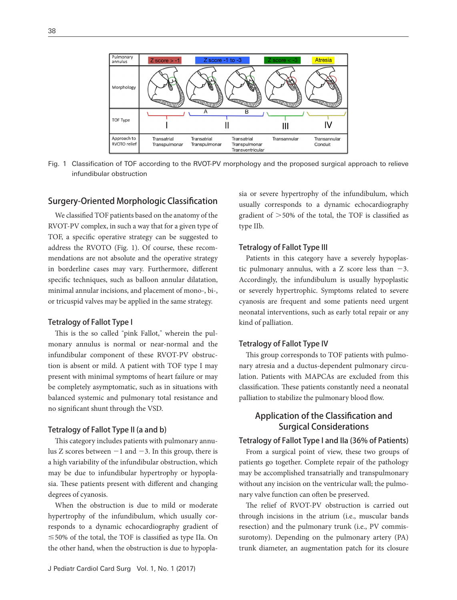

Fig. 1 Classification of TOF according to the RVOT-PV morphology and the proposed surgical approach to relieve infundibular obstruction

### Surgery-Oriented Morphologic Classification

We classified TOF patients based on the anatomy of the RVOT-PV complex, in such a way that for a given type of TOF, a specific operative strategy can be suggested to address the RVOTO (Fig. 1). Of course, these recommendations are not absolute and the operative strategy in borderline cases may vary. Furthermore, different specific techniques, such as balloon annular dilatation, minimal annular incisions, and placement of mono-, bi-, or tricuspid valves may be applied in the same strategy.

### Tetralogy of Fallot Type I

This is the so called "pink Fallot," wherein the pulmonary annulus is normal or near-normal and the infundibular component of these RVOT-PV obstruction is absent or mild. A patient with TOF type I may present with minimal symptoms of heart failure or may be completely asymptomatic, such as in situations with balanced systemic and pulmonary total resistance and no significant shunt through the VSD.

### Tetralogy of Fallot Type II (a and b)

This category includes patients with pulmonary annulus Z scores between  $-1$  and  $-3$ . In this group, there is a high variability of the infundibular obstruction, which may be due to infundibular hypertrophy or hypoplasia. These patients present with different and changing degrees of cyanosis.

When the obstruction is due to mild or moderate hypertrophy of the infundibulum, which usually corresponds to a dynamic echocardiography gradient of ≤50% of the total, the TOF is classified as type IIa. On the other hand, when the obstruction is due to hypoplasia or severe hypertrophy of the infundibulum, which usually corresponds to a dynamic echocardiography gradient of >50% of the total, the TOF is classified as type IIb.

### Tetralogy of Fallot Type III

Patients in this category have a severely hypoplastic pulmonary annulus, with a Z score less than  $-3$ . Accordingly, the infundibulum is usually hypoplastic or severely hypertrophic. Symptoms related to severe cyanosis are frequent and some patients need urgent neonatal interventions, such as early total repair or any kind of palliation.

### Tetralogy of Fallot Type IV

This group corresponds to TOF patients with pulmonary atresia and a ductus-dependent pulmonary circulation. Patients with MAPCAs are excluded from this classification. These patients constantly need a neonatal palliation to stabilize the pulmonary blood flow.

# Application of the Classification and Surgical Considerations

# Tetralogy of Fallot Type I and IIa (36% of Patients)

From a surgical point of view, these two groups of patients go together. Complete repair of the pathology may be accomplished transatrially and transpulmonary without any incision on the ventricular wall; the pulmonary valve function can often be preserved.

The relief of RVOT-PV obstruction is carried out through incisions in the atrium (i.e., muscular bands resection) and the pulmonary trunk (i.e., PV commissurotomy). Depending on the pulmonary artery (PA) trunk diameter, an augmentation patch for its closure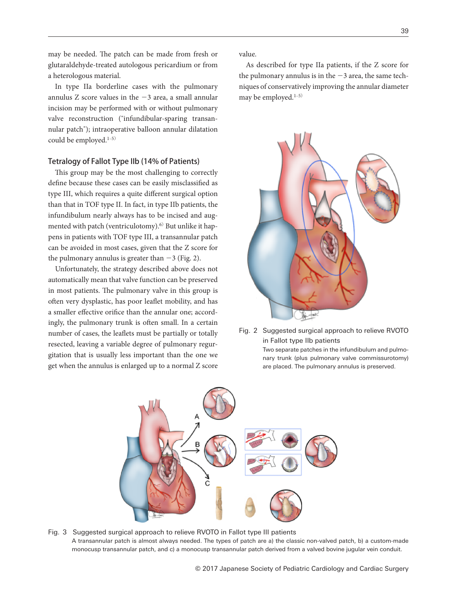may be needed. The patch can be made from fresh or glutaraldehyde-treated autologous pericardium or from a heterologous material.

In type IIa borderline cases with the pulmonary annulus Z score values in the −3 area, a small annular incision may be performed with or without pulmonary valve reconstruction ("infundibular-sparing transannular patch"); intraoperative balloon annular dilatation could be employed.<sup>1-5)</sup>

# Tetralogy of Fallot Type IIb (14% of Patients)

This group may be the most challenging to correctly define because these cases can be easily misclassified as type III, which requires a quite different surgical option than that in TOF type II. In fact, in type IIb patients, the infundibulum nearly always has to be incised and augmented with patch (ventriculotomy).<sup>6)</sup> But unlike it happens in patients with TOF type III, a transannular patch can be avoided in most cases, given that the Z score for the pulmonary annulus is greater than  $-3$  (Fig. 2).

Unfortunately, the strategy described above does not automatically mean that valve function can be preserved in most patients. The pulmonary valve in this group is often very dysplastic, has poor leaflet mobility, and has a smaller effective orifice than the annular one; accordingly, the pulmonary trunk is often small. In a certain number of cases, the leaflets must be partially or totally resected, leaving a variable degree of pulmonary regurgitation that is usually less important than the one we get when the annulus is enlarged up to a normal Z score value.

As described for type IIa patients, if the Z score for the pulmonary annulus is in the −3 area, the same techniques of conservatively improving the annular diameter may be employed.<sup>1-5)</sup>



Fig. 2 Suggested surgical approach to relieve RVOTO in Fallot type IIb patients Two separate patches in the infundibulum and pulmonary trunk (plus pulmonary valve commissurotomy) are placed. The pulmonary annulus is preserved.



Fig. 3 Suggested surgical approach to relieve RVOTO in Fallot type III patients A transannular patch is almost always needed. The types of patch are a) the classic non-valved patch, b) a custom-made monocusp transannular patch, and c) a monocusp transannular patch derived from a valved bovine jugular vein conduit.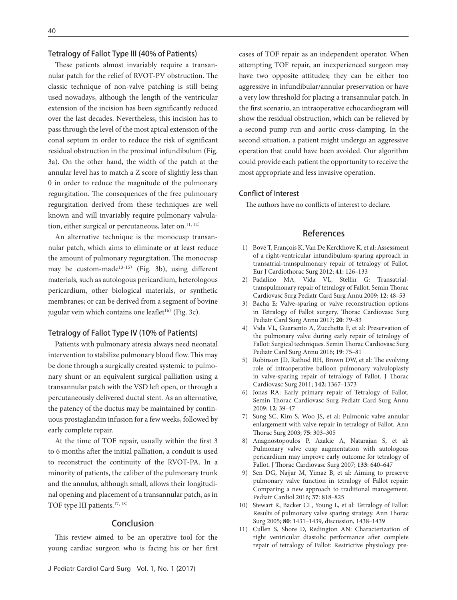### Tetralogy of Fallot Type III (40% of Patients)

These patients almost invariably require a transannular patch for the relief of RVOT-PV obstruction. The classic technique of non-valve patching is still being used nowadays, although the length of the ventricular extension of the incision has been significantly reduced over the last decades. Nevertheless, this incision has to pass through the level of the most apical extension of the conal septum in order to reduce the risk of significant residual obstruction in the proximal infundibulum (Fig. 3a). On the other hand, the width of the patch at the annular level has to match a Z score of slightly less than 0 in order to reduce the magnitude of the pulmonary regurgitation. The consequences of the free pulmonary regurgitation derived from these techniques are well known and will invariably require pulmonary valvulation, either surgical or percutaneous, later on.<sup>11, 12)</sup>

An alternative technique is the monocusp transannular patch, which aims to eliminate or at least reduce the amount of pulmonary regurgitation. The monocusp may be custom-made<sup>13-15)</sup> (Fig. 3b), using different materials, such as autologous pericardium, heterologous pericardium, other biological materials, or synthetic membranes; or can be derived from a segment of bovine jugular vein which contains one leaflet<sup>16)</sup> (Fig. 3c).

### Tetralogy of Fallot Type IV (10% of Patients)

Patients with pulmonary atresia always need neonatal intervention to stabilize pulmonary blood flow. This may be done through a surgically created systemic to pulmonary shunt or an equivalent surgical palliation using a transannular patch with the VSD left open, or through a percutaneously delivered ductal stent. As an alternative, the patency of the ductus may be maintained by continuous prostaglandin infusion for a few weeks, followed by early complete repair.

At the time of TOF repair, usually within the first 3 to 6 months after the initial palliation, a conduit is used to reconstruct the continuity of the RVOT-PA. In a minority of patients, the caliber of the pulmonary trunk and the annulus, although small, allows their longitudinal opening and placement of a transannular patch, as in TOF type III patients.17, 18)

### Conclusion

This review aimed to be an operative tool for the young cardiac surgeon who is facing his or her first cases of TOF repair as an independent operator. When attempting TOF repair, an inexperienced surgeon may have two opposite attitudes; they can be either too aggressive in infundibular/annular preservation or have a very low threshold for placing a transannular patch. In the first scenario, an intraoperative echocardiogram will show the residual obstruction, which can be relieved by a second pump run and aortic cross-clamping. In the second situation, a patient might undergo an aggressive operation that could have been avoided. Our algorithm could provide each patient the opportunity to receive the most appropriate and less invasive operation.

#### Conflict of Interest

The authors have no conflicts of interest to declare.

# References

- 1) Bové T, François K, Van De Kerckhove K, et al: Assessment of a right-ventricular infundibulum-sparing approach in transatrial-transpulmonary repair of tetralogy of Fallot. Eur J Cardiothorac Surg 2012; **41**: 126‒133
- [2\) Padalino MA, Vida VL, Stellin G: Transatrial](http://dx.doi.org/10.1053/j.pcsu.2009.01.005)[transpulmonary repair of tetralogy of Fallot. Semin Thorac](http://dx.doi.org/10.1053/j.pcsu.2009.01.005)  [Cardiovasc Surg Pediatr Card Surg Annu 2009;](http://dx.doi.org/10.1053/j.pcsu.2009.01.005) **12**: 48‒53
- [3\) Bacha E: Valve-sparing or valve reconstruction options](http://dx.doi.org/10.1053/j.pcsu.2016.09.001)  [in Tetralogy of Fallot surgery. Thorac Cardiovasc Surg](http://dx.doi.org/10.1053/j.pcsu.2016.09.001)  [Pediatr Card Surg Annu 2017;](http://dx.doi.org/10.1053/j.pcsu.2016.09.001) **20**: 79‒83
- [4\) Vida VL, Guariento A, Zucchetta F, et al: Preservation of](http://dx.doi.org/10.1053/j.pcsu.2015.12.008)  [the pulmonary valve during early repair of tetralogy of](http://dx.doi.org/10.1053/j.pcsu.2015.12.008)  [Fallot: Surgical techniques. Semin Thorac Cardiovasc Surg](http://dx.doi.org/10.1053/j.pcsu.2015.12.008)  [Pediatr Card Surg Annu 2016;](http://dx.doi.org/10.1053/j.pcsu.2015.12.008) **19**: 75‒81
- [5\) Robinson JD, Rathod RH, Brown DW, et al: The evolving](http://dx.doi.org/10.1016/j.jtcvs.2011.02.047)  [role of intraoperative balloon pulmonary valvuloplasty](http://dx.doi.org/10.1016/j.jtcvs.2011.02.047)  [in valve-sparing repair of tetralogy of Fallot. J Thorac](http://dx.doi.org/10.1016/j.jtcvs.2011.02.047)  [Cardiovasc Surg 2011;](http://dx.doi.org/10.1016/j.jtcvs.2011.02.047) **142**: 1367‒1373
- [6\) Jonas RA: Early primary repair of Tetralogy of Fallot.](http://dx.doi.org/10.1053/j.pcsu.2009.01.021)  [Semin Thorac Cardiovasc Surg Pediatr Card Surg Annu](http://dx.doi.org/10.1053/j.pcsu.2009.01.021)  [2009;](http://dx.doi.org/10.1053/j.pcsu.2009.01.021) **12**: 39‒47
- [7\) Sung SC, Kim S, Woo JS, et al: Pulmonic valve annular](http://dx.doi.org/10.1016/S0003-4975(02)03926-7)  [enlargement with valve repair in tetralogy of Fallot. Ann](http://dx.doi.org/10.1016/S0003-4975(02)03926-7)  [Thorac Surg 2003;](http://dx.doi.org/10.1016/S0003-4975(02)03926-7) **75**: 303‒305
- [8\) Anagnostopoulos P, Azakie A, Natarajan S, et al:](http://dx.doi.org/10.1016/j.jtcvs.2006.10.039)  [Pulmonary valve cusp augmentation with autologous](http://dx.doi.org/10.1016/j.jtcvs.2006.10.039)  [pericardium may improve early outcome for tetralogy of](http://dx.doi.org/10.1016/j.jtcvs.2006.10.039)  [Fallot. J Thorac Cardiovasc Surg 2007;](http://dx.doi.org/10.1016/j.jtcvs.2006.10.039) **133**: 640‒647
- [9\) Sen DG, Najjar M, Yimaz B, et al: Aiming to preserve](http://dx.doi.org/10.1007/s00246-016-1355-1)  [pulmonary valve function in tetralogy of Fallot repair:](http://dx.doi.org/10.1007/s00246-016-1355-1)  [Comparing a new approach to traditional management.](http://dx.doi.org/10.1007/s00246-016-1355-1)  [Pediatr Cardiol 2016;](http://dx.doi.org/10.1007/s00246-016-1355-1) **37**: 818‒825
- [10\) Stewart R, Backer CL, Young L, et al: Tetralogy of Fallot:](http://dx.doi.org/10.1016/j.athoracsur.2005.04.016)  [Results of pulmonary valve sparing strategy. Ann Thorac](http://dx.doi.org/10.1016/j.athoracsur.2005.04.016)  Surg 2005; **80**: 1431‒[1439, discussion, 1438](http://dx.doi.org/10.1016/j.athoracsur.2005.04.016)‒1439
- [11\) Cullen S, Shore D, Redington AN: Characterization of](http://dx.doi.org/10.1161/01.CIR.91.6.1782)  [right ventricular diastolic performance after complete](http://dx.doi.org/10.1161/01.CIR.91.6.1782)  [repair of tetralogy of Fallot: Restrictive physiology pre-](http://dx.doi.org/10.1161/01.CIR.91.6.1782)